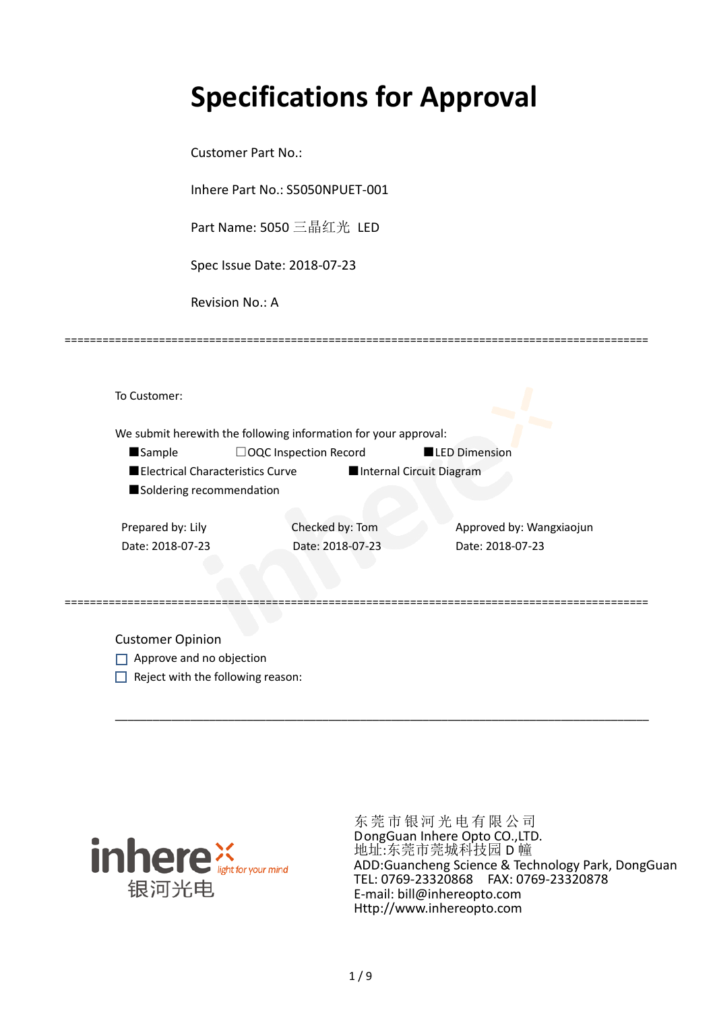# **Specifications for Approval**

Customer Part No.:

Inhere Part No.: S5050NPUET-001

Part Name: 5050 三晶红光 LED

Spec Issue Date: 2018-07-23

Revision No.: A

|                          | We submit herewith the following information for your approval: |                          |                          |
|--------------------------|-----------------------------------------------------------------|--------------------------|--------------------------|
| <b>Sample</b>            | $\Box$ OQC Inspection Record                                    | <b>LED Dimension</b>     |                          |
|                          | Electrical Characteristics Curve                                | Internal Circuit Diagram |                          |
| Soldering recommendation |                                                                 |                          |                          |
|                          |                                                                 |                          |                          |
| Prepared by: Lily        | Checked by: Tom                                                 |                          | Approved by: Wangxiaojun |
| Date: 2018-07-23         | Date: 2018-07-23                                                | Date: 2018-07-23         |                          |
|                          |                                                                 |                          |                          |

\_\_\_\_\_\_\_\_\_\_\_\_\_\_\_\_\_\_\_\_\_\_\_\_\_\_\_\_\_\_\_\_\_\_\_\_\_\_\_\_\_\_\_\_\_\_\_\_\_\_\_\_\_\_\_\_\_\_\_\_\_\_\_\_\_\_\_\_\_\_\_\_\_\_\_\_\_\_\_\_\_\_\_\_\_

=============================================================================================

Customer Opinion

- Approve and no objection
- $\Box$  Reject with the following reason:



东莞市银河光电有限公司 DongGuan Inhere Opto CO.,LTD. 地址:东莞市莞城科技园 D 幢 ADD:Guancheng Science & Technology Park, DongGuan TEL: 0769-23320868 FAX: 0769-23320878 E-mail: bill@inhereopto.com Http://www.inhereopto.com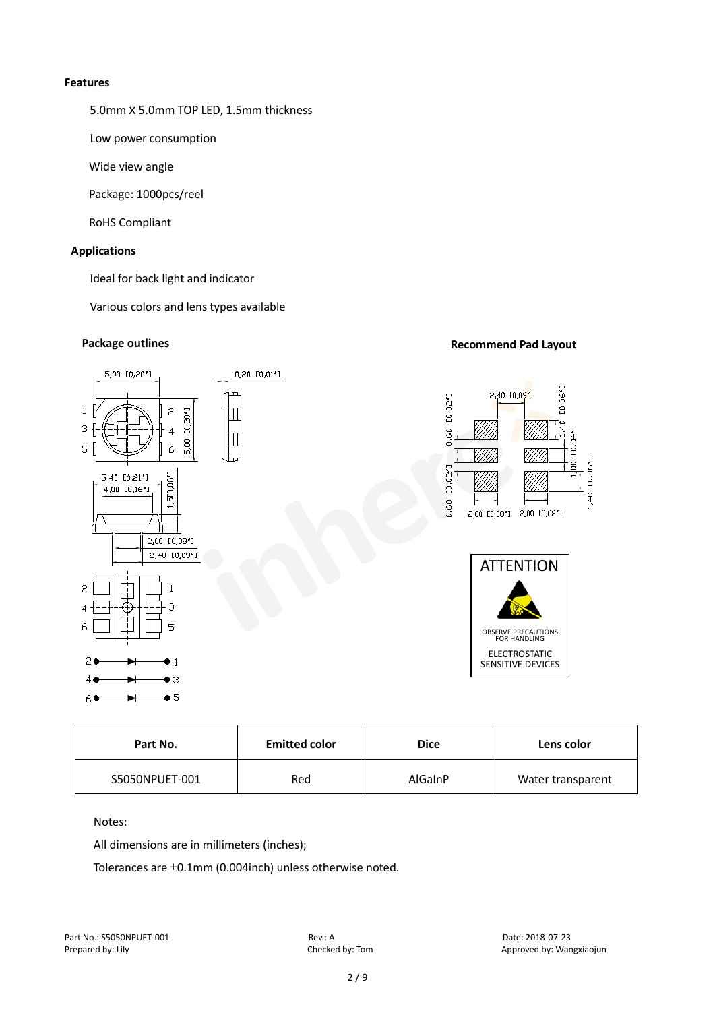#### **Features**

5.0mm x 5.0mm TOP LED, 1.5mm thickness

Low power consumption

Wide view angle

Package: 1000pcs/reel

RoHS Compliant

# **Applications**

Ideal for back light and indicator

Various colors and lens types available

# **Package outlines Recommend Pad Layout Recommend Pad Layout**



| Part No.       | <b>Emitted color</b> | <b>Dice</b>    | Lens color        |
|----------------|----------------------|----------------|-------------------|
| S5050NPUET-001 | Red                  | <b>AlGainP</b> | Water transparent |

# Notes:

All dimensions are in millimeters (inches);

Tolerances are ±0.1mm (0.004inch) unless otherwise noted.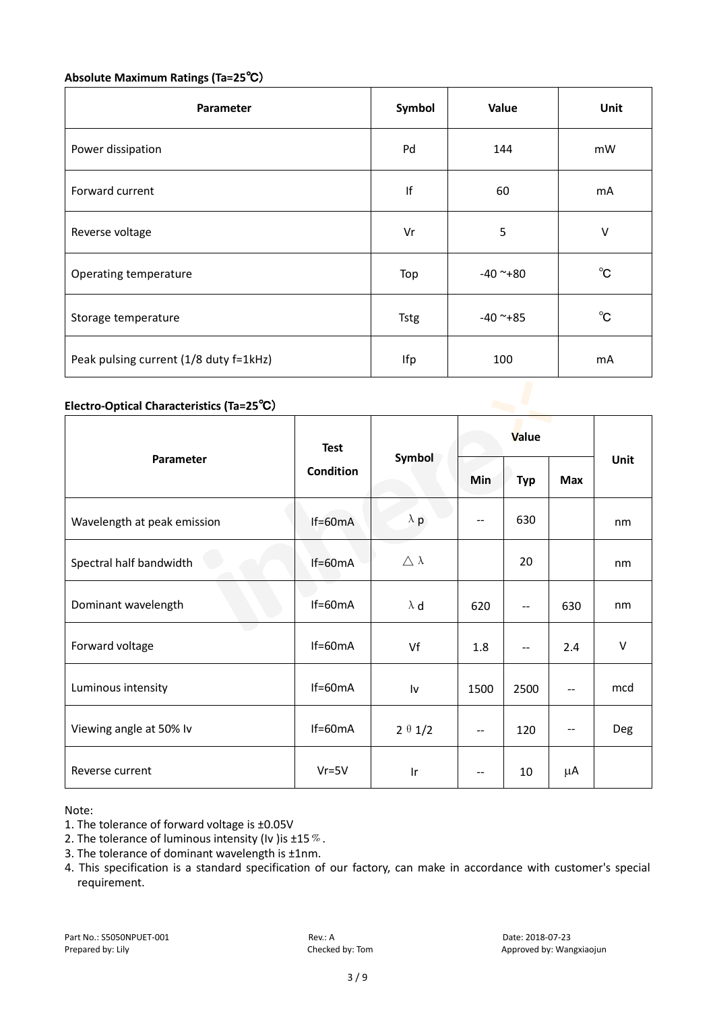# **Absolute Maximum Ratings (Ta=25**℃)

| <b>Parameter</b>                       | Symbol      | Value      | Unit         |
|----------------------------------------|-------------|------------|--------------|
| Power dissipation                      | Pd          | 144        | mW           |
| Forward current                        | If          | 60         | mA           |
| Reverse voltage                        | Vr          | 5          | V            |
| Operating temperature                  | Top         | $-40$ ~+80 | $^{\circ}$ C |
| Storage temperature                    | <b>Tstg</b> | $-40$ ~+85 | $^{\circ}$ C |
| Peak pulsing current (1/8 duty f=1kHz) | Ifp         | 100        | mA           |

# **Electro-Optical Characteristics (Ta=25**℃)

|                             | <b>Test</b><br>Condition | Symbol              | Value                    |            |            |        |
|-----------------------------|--------------------------|---------------------|--------------------------|------------|------------|--------|
| Parameter                   |                          |                     | Min                      | <b>Typ</b> | <b>Max</b> | Unit   |
| Wavelength at peak emission | If=60mA                  | $\lambda$ p         | $-$                      | 630        |            | nm     |
| Spectral half bandwidth     | If=60mA                  | $\triangle \lambda$ |                          | 20         |            | nm     |
| Dominant wavelength         | $If=60mA$                | $\lambda$ d         | 620                      | --         | 630        | nm     |
| and the<br>Forward voltage  | $If=60mA$                | Vf                  | 1.8                      | $-$        | 2.4        | $\vee$ |
| Luminous intensity          | $If=60mA$                | Iv                  | 1500                     | 2500       | --         | mcd    |
| Viewing angle at 50% lv     | $If=60mA$                | $2 \theta 1/2$      | $\qquad \qquad -$        | 120        | --         | Deg    |
| Reverse current             | $Vr = 5V$                | Ir                  | $\overline{\phantom{m}}$ | 10         | μA         |        |

Note:

- 2. The tolerance of luminous intensity (Iv ) is  $\pm 15\%$ .
- 3. The tolerance of dominant wavelength is ±1nm.
- 4. This specification is a standard specification of our factory, can make in accordance with customer's special requirement.

<sup>1.</sup> The tolerance of forward voltage is ±0.05V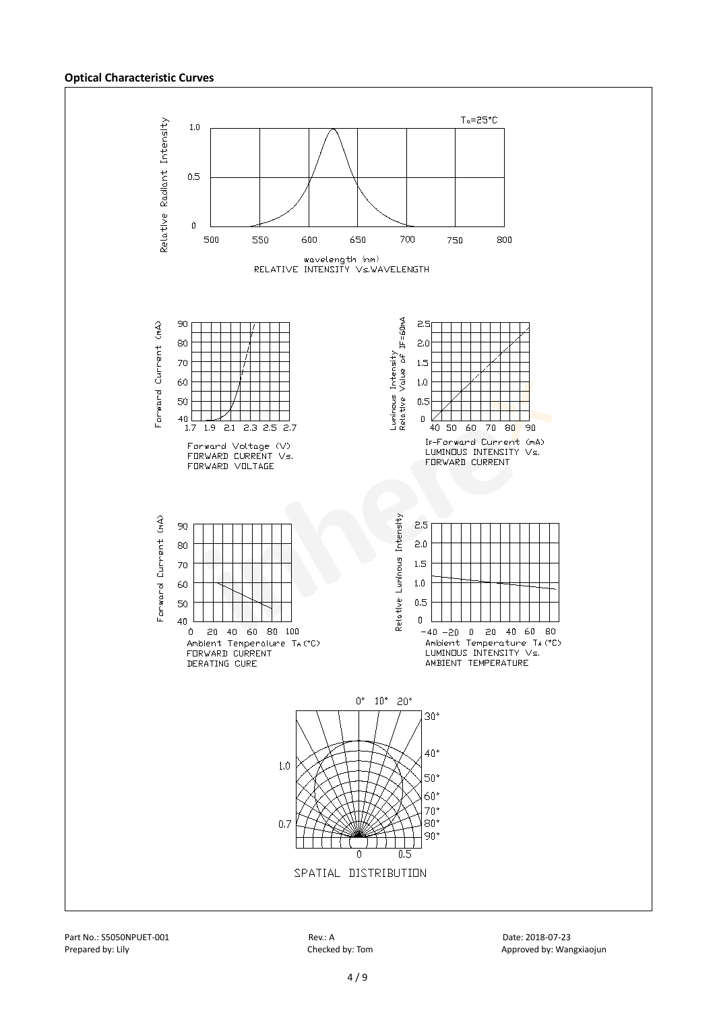#### **Optical Characteristic Curves**



Part No.: S5050NPUET-001 Rev.: A Date: 2018-07-23

Prepared by: Lily Checked by: Tom Checked by: Tom Approved by: Wangxiaojun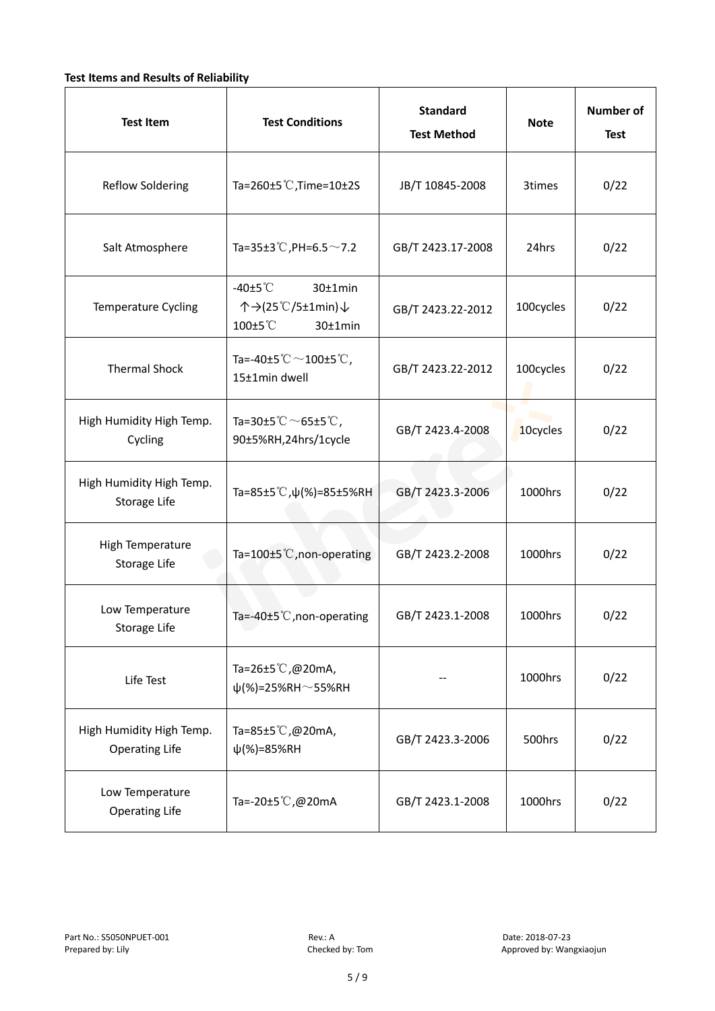# **Test Items and Results of Reliability**

| <b>Test Item</b>                                  | <b>Test Conditions</b>                                                         | <b>Standard</b><br><b>Test Method</b> | <b>Note</b> | <b>Number of</b><br><b>Test</b> |
|---------------------------------------------------|--------------------------------------------------------------------------------|---------------------------------------|-------------|---------------------------------|
| <b>Reflow Soldering</b>                           | Ta=260 $\pm$ 5 °C, Time=10 $\pm$ 2S                                            | JB/T 10845-2008                       | 3times      | 0/22                            |
| Salt Atmosphere                                   | Ta=35±3°C, PH=6.5 $\sim$ 7.2                                                   | GB/T 2423.17-2008                     | 24hrs       | 0/22                            |
| Temperature Cycling                               | -40 $±5^{\circ}$ C<br>$30±1$ min<br>个→(25℃/5±1min)↓<br>100±5°C<br>$30±1$ min   | GB/T 2423.22-2012                     | 100cycles   | 0/22                            |
| <b>Thermal Shock</b>                              | Ta=-40±5 $\degree \text{C}$ $\sim$ 100±5 $\degree \text{C}$ ,<br>15±1min dwell | GB/T 2423.22-2012                     | 100cycles   | 0/22                            |
| High Humidity High Temp.<br>Cycling               | Ta=30±5 °C $\sim$ 65±5 °C,<br>90±5%RH,24hrs/1cycle                             | GB/T 2423.4-2008                      | 10cycles    | 0/22                            |
| High Humidity High Temp.<br>Storage Life          | Ta=85±5 °C, $\psi$ (%)=85±5%RH                                                 | GB/T 2423.3-2006                      | 1000hrs     | 0/22                            |
| High Temperature<br><b>Storage Life</b>           | Ta=100±5°C, non-operating                                                      | GB/T 2423.2-2008                      | 1000hrs     | 0/22                            |
| Low Temperature<br>Storage Life                   | Ta=-40±5 $°C$ , non-operating                                                  | GB/T 2423.1-2008                      | 1000hrs     | 0/22                            |
| Life Test                                         | Ta=26±5℃,@20mA,<br>$\psi$ (%)=25%RH~55%RH                                      |                                       | 1000hrs     | 0/22                            |
| High Humidity High Temp.<br><b>Operating Life</b> | Ta=85±5 $\degree$ C, @20mA,<br>$\psi$ (%)=85%RH                                | GB/T 2423.3-2006                      | 500hrs      | 0/22                            |
| Low Temperature<br><b>Operating Life</b>          | Ta=-20±5℃,@20mA                                                                | GB/T 2423.1-2008                      | 1000hrs     | 0/22                            |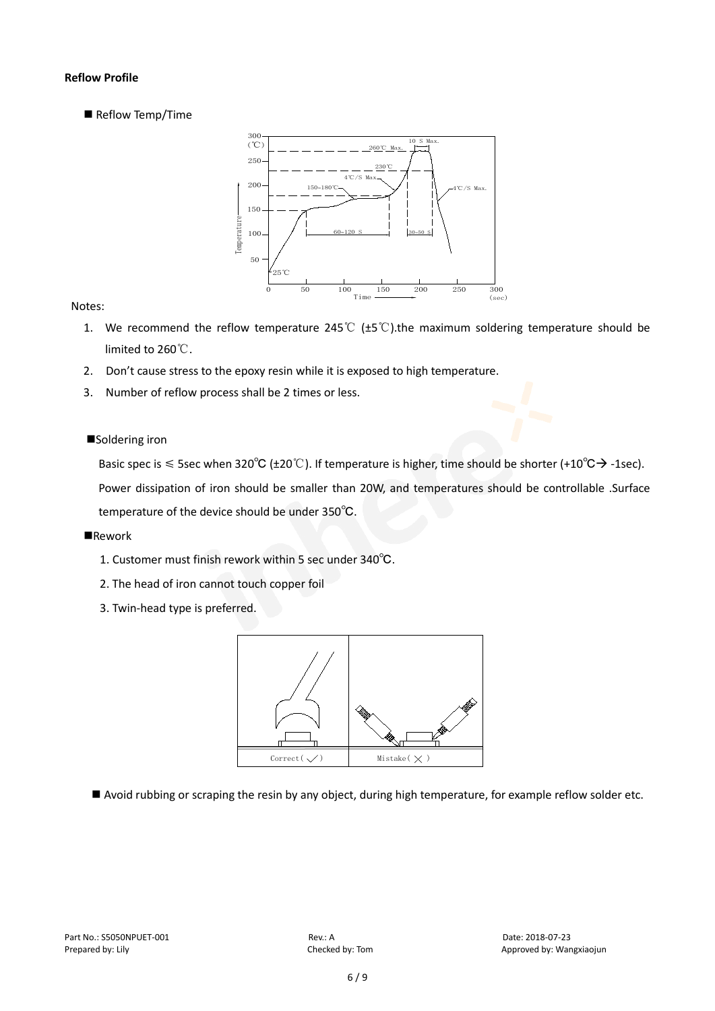# **Reflow Profile**

Reflow Temp/Time



# Notes:

- 1. We recommend the reflow temperature 245°C ( $\pm$ 5°C).the maximum soldering temperature should be limited to 260℃.
- 2. Don't cause stress to the epoxy resin while it is exposed to high temperature.
- 3. Number of reflow process shall be 2 times or less.

# ■Soldering iron

Basic spec is  $\leq$  5sec when 320°C (±20°C). If temperature is higher, time should be shorter (+10°C $\rightarrow$ -1sec).

Power dissipation of iron should be smaller than 20W, and temperatures should be controllable .Surface temperature of the device should be under 350℃.

#### **Rework**

- 1. Customer must finish rework within 5 sec under 340℃.
- 2. The head of iron cannot touch copper foil
- 3. Twin-head type is preferred.



Avoid rubbing or scraping the resin by any object, during high temperature, for example reflow solder etc.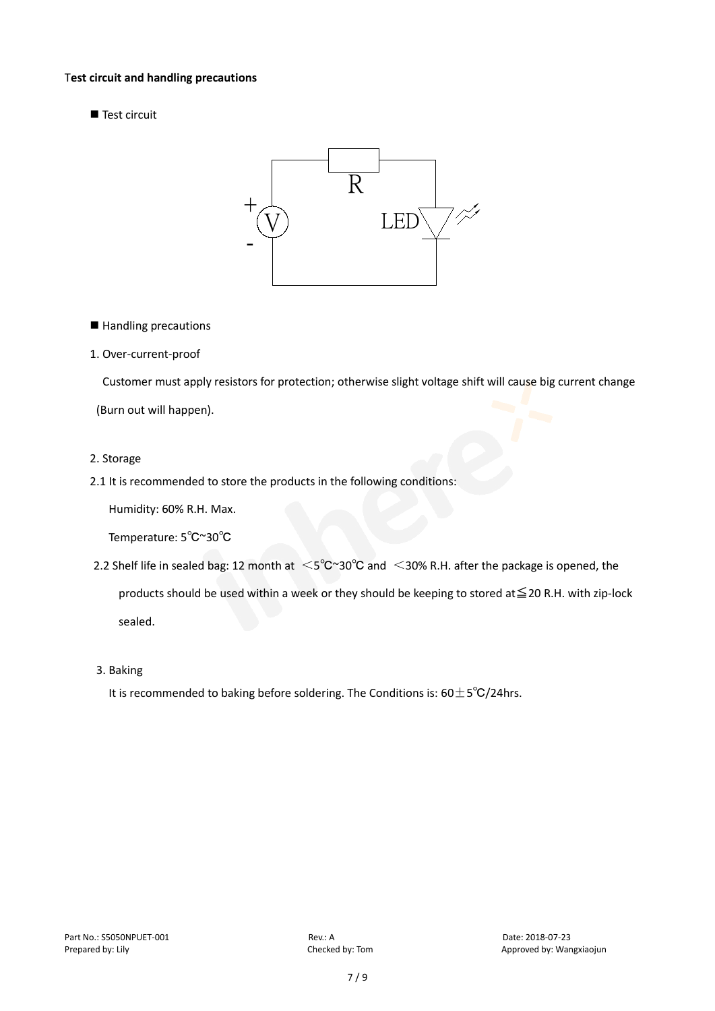#### T**est circuit and handling precautions**

Test circuit



■ Handling precautions

#### 1. Over-current-proof

Customer must apply resistors for protection; otherwise slight voltage shift will cause big current change

(Burn out will happen).

#### 2. Storage

2.1 It is recommended to store the products in the following conditions:

Humidity: 60% R.H. Max.

Temperature: 5℃~30℃

- 2.2 Shelf life in sealed bag: 12 month at <5℃~30°C and <30% R.H. after the package is opened, the products should be used within a week or they should be keeping to stored at≦20 R.H. with zip-lock sealed.
- 3. Baking

It is recommended to baking before soldering. The Conditions is:  $60±5°C/24$ hrs.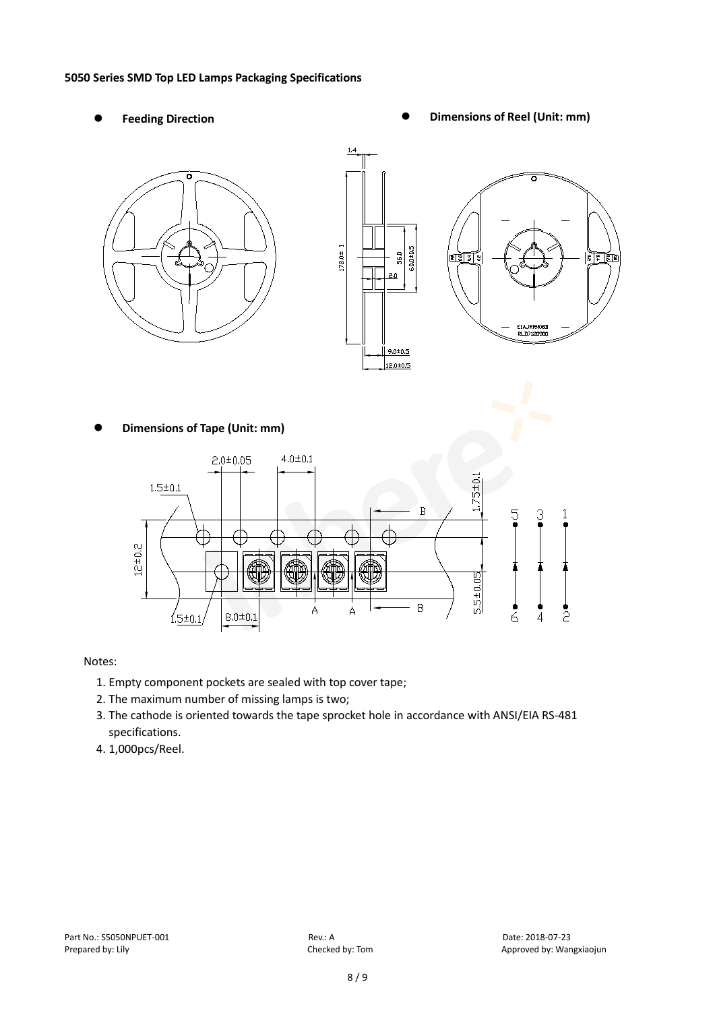#### **5050 Series SMD Top LED Lamps Packaging Specifications**

- 
- Feeding Direction **Constanting Constanting Constanting Constanting Constanting Constanting Constanting Constanting Constanting Constanting Constanting Constanting Constanting Constanting Constanting Constanting Constanting**



**Dimensions of Tape (Unit: mm)**



# Notes:

- 1. Empty component pockets are sealed with top cover tape;
- 2. The maximum number of missing lamps is two;
- 3. The cathode is oriented towards the tape sprocket hole in accordance with ANSI/EIA RS-481 specifications.
- 4. 1,000pcs/Reel.